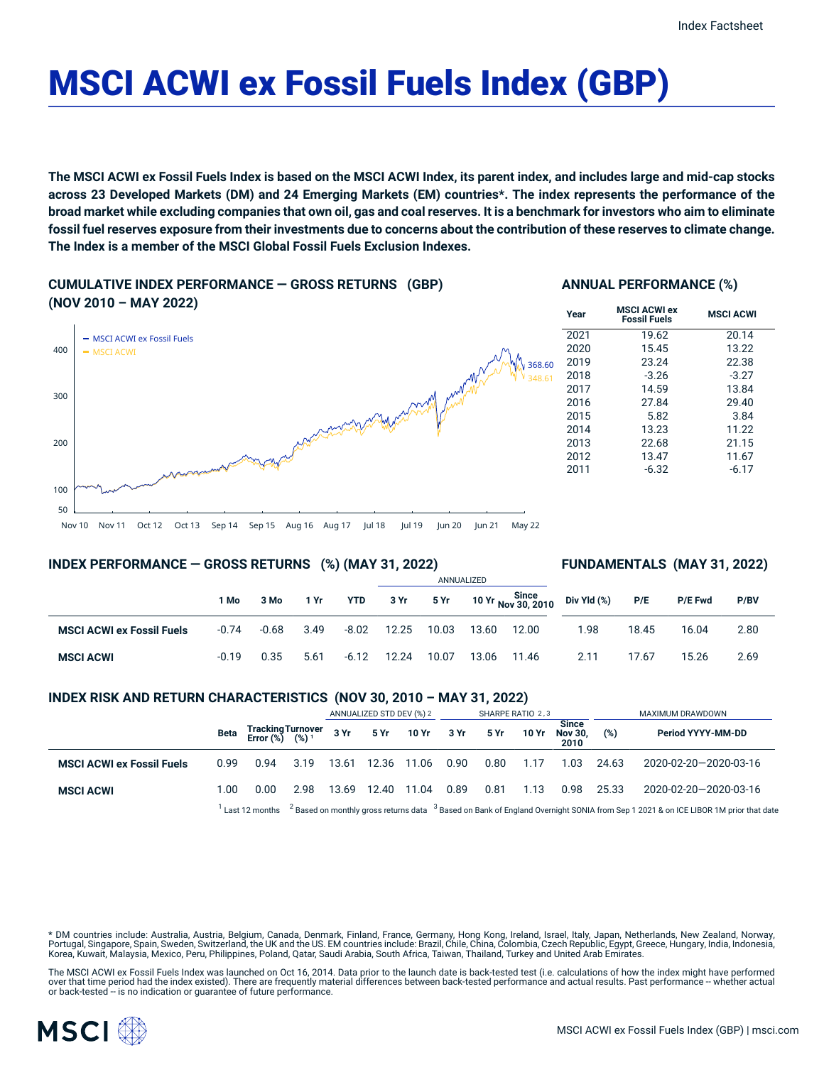# MSCI ACWI ex Fossil Fuels Index (GBP)

The MSCI ACWI ex Fossil Fuels Index is based on the MSCI ACWI Index, its parent index, and includes large and mid-cap stocks across 23 Developed Markets (DM) and 24 Emerging Markets (EM) countries\*. The index represents the performance of the broad market while excluding companies that own oil, gas and coal reserves. It is a benchmark for investors who aim to eliminate fossil fuel reserves exposure from their investments due to concerns about the contribution of these reserves to climate change. **The Index is a member of the MSCI Global Fossil Fuels Exclusion Indexes.**

**CUMULATIVE INDEX PERFORMANCE — GROSS RETURNS (GBP) (NOV 2010 – MAY 2022)**

#### **ANNUAL PERFORMANCE (%)**



#### **INDEX PERFORMANCE — GROSS RETURNS (%) (MAY 31, 2022)**

#### **FUNDAMENTALS (MAY 31, 2022)**

|                                  |         |         |      |            |       |       | ANNUALIZED |       |                                               |       |         |      |
|----------------------------------|---------|---------|------|------------|-------|-------|------------|-------|-----------------------------------------------|-------|---------|------|
|                                  | 1 Mo    | 3 Mo    | 1 Yr | <b>YTD</b> | 3 Yr  | 5 Yr  |            |       | 10 Yr Since<br>10 Yr Nov 30, 2010 Div Yld (%) | P/E   | P/E Fwd | P/BV |
| <b>MSCI ACWI ex Fossil Fuels</b> | $-0.74$ | $-0.68$ | 3.49 | $-8.02$    | 12.25 | 10.03 | 13.60      | 12.00 | 1.98                                          | 18.45 | 16.04   | 2.80 |
| <b>MSCI ACWI</b>                 | $-0.19$ | 0.35    | 5.61 | $-6.12$    | 12.24 | 10.07 | 13.06      | 11.46 | 2.11                                          | 17.67 | 15.26   | 2.69 |

#### **INDEX RISK AND RETURN CHARACTERISTICS (NOV 30, 2010 – MAY 31, 2022)**

|                                  |      |                                                                                                                                                          |      | ANNUALIZED STD DEV (%) 2 |             |             | SHARPE RATIO 2,3 |      |       |                                        | MAXIMUM DRAWDOWN |                       |  |
|----------------------------------|------|----------------------------------------------------------------------------------------------------------------------------------------------------------|------|--------------------------|-------------|-------------|------------------|------|-------|----------------------------------------|------------------|-----------------------|--|
|                                  | Beta | Tracking Turnover<br>Error (%) (%) 1                                                                                                                     |      |                          | $3Yr$ $5Yr$ | 10 Yr 3 Yr  |                  | 5 Yr | 10 Yr | <b>Since</b><br><b>Nov 30.</b><br>2010 | (%)              | Period YYYY-MM-DD     |  |
| <b>MSCI ACWI ex Fossil Fuels</b> | 0.99 | 0.94                                                                                                                                                     | 3.19 | 13.61                    |             | 12.36 11.06 | 0.90             | 0.80 | 1.17  | 1.03                                   | 24.63            | 2020-02-20-2020-03-16 |  |
| <b>MSCI ACWI</b>                 | 1.00 | 0.00                                                                                                                                                     | 2.98 | 13.69                    |             | 12.40 11.04 | 0.89             | 0.81 | 1.13  | 0.98                                   | 25.33            | 2020-02-20-2020-03-16 |  |
|                                  |      | $2$ Based on monthly gross returns data $3$ Based on Bank of England Overnight SONIA from Sep 1 2021 & on ICE LIBOR 1M prior that date<br>Last 12 months |      |                          |             |             |                  |      |       |                                        |                  |                       |  |

\* DM countries include: Australia, Austria, Belgium, Canada, Denmark, Finland, France, Germany, Hong Kong, Ireland, Israel, Italy, Japan, Netherlands, New Zealand, Norway, Portugal, Singapore, Spain, Sweden, Switzerland, the UK and the US. EM countries include: Brazil, Chile, China, Colombia, Czech Republic, Egypt, Greece, Hungary, India, Indonesia, Korea, Kuwait, Malaysia, Mexico, Peru, Philippines, Poland, Qatar, Saudi Arabia, South Africa, Taiwan, Thailand, Turkey and United Arab Emirates.

The MSCI ACWI ex Fossil Fuels Index was launched on Oct 16, 2014. Data prior to the launch date is back-tested test (i.e. calculations of how the index might have performed over that time period had the index existed). There are frequently material differences between back-tested performance and actual results. Past performance -- whether actual or back-tested -- is no indication or guarantee of future performance.

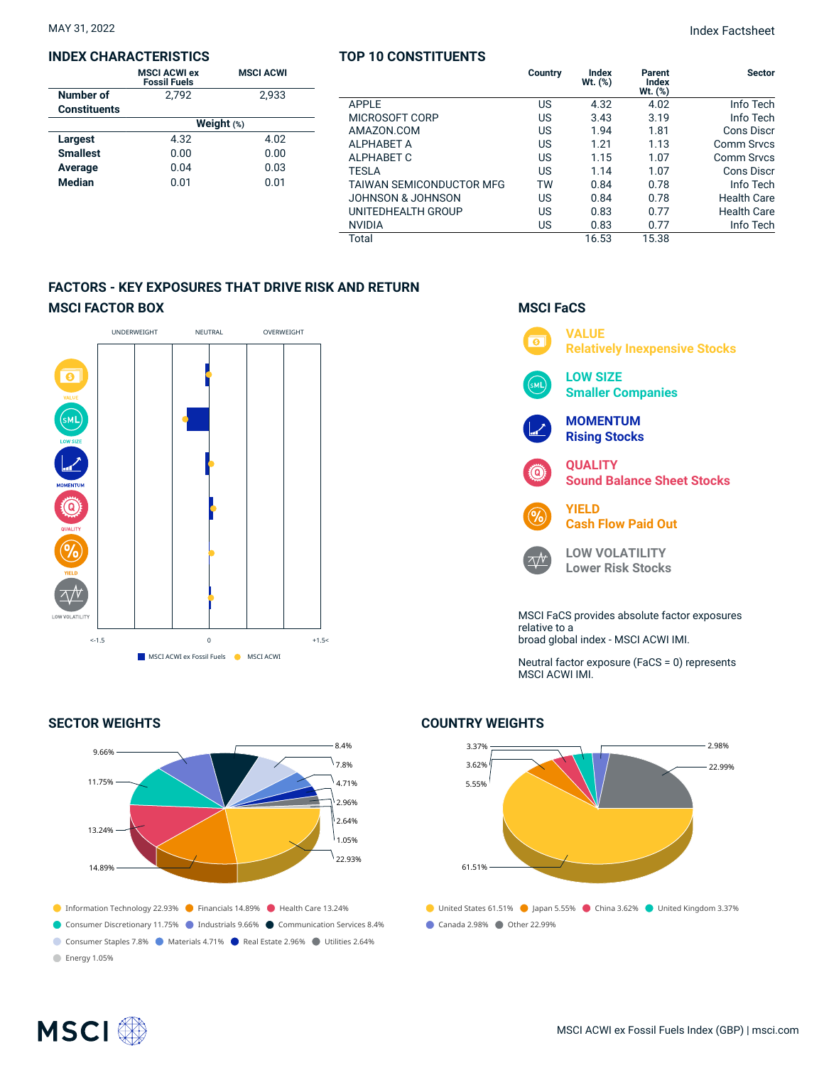#### **INDEX CHARACTERISTICS**

|                     | <b>MSCI ACWI ex</b><br><b>Fossil Fuels</b> | <b>MSCI ACWI</b> |  |  |  |  |  |
|---------------------|--------------------------------------------|------------------|--|--|--|--|--|
| <b>Number of</b>    | 2.792                                      | 2.933            |  |  |  |  |  |
| <b>Constituents</b> |                                            |                  |  |  |  |  |  |
|                     | Weight $(*)$                               |                  |  |  |  |  |  |
| <b>Largest</b>      | 4.32                                       | 4.02             |  |  |  |  |  |
| <b>Smallest</b>     | 0.00                                       | 0.00             |  |  |  |  |  |
| Average             | 0.04                                       | 0.03             |  |  |  |  |  |
| <b>Median</b>       | 0.01                                       | 0.01             |  |  |  |  |  |

#### **TOP 10 CONSTITUENTS**

|                          | Country | Index<br>Wt. (%) | Parent<br>Index<br>$Wt.$ $(\%)$ | <b>Sector</b>      |
|--------------------------|---------|------------------|---------------------------------|--------------------|
| <b>APPLE</b>             | US      | 4.32             | 4.02                            | Info Tech          |
| MICROSOFT CORP           | US      | 3.43             | 3.19                            | Info Tech          |
| AMAZON.COM               | US      | 1.94             | 1.81                            | <b>Cons Discr</b>  |
| ALPHABET A               | US      | 1.21             | 1.13                            | <b>Comm Srvcs</b>  |
| ALPHABET C               | US      | 1.15             | 1.07                            | <b>Comm Srvcs</b>  |
| TESLA                    | US      | 1.14             | 1.07                            | <b>Cons Discr</b>  |
| TAIWAN SEMICONDUCTOR MFG | TW      | 0.84             | 0.78                            | Info Tech          |
| JOHNSON & JOHNSON        | US      | 0.84             | 0.78                            | <b>Health Care</b> |
| UNITEDHEALTH GROUP       | US      | 0.83             | 0.77                            | Health Care        |
| NVIDIA                   | US      | 0.83             | 0.77                            | Info Tech          |
| Total                    |         | 16.53            | 15.38                           |                    |
|                          |         |                  |                                 |                    |

### **FACTORS - KEY EXPOSURES THAT DRIVE RISK AND RETURN MSCI FACTOR BOX**



#### **SECTOR WEIGHTS**



### **MSCI FaCS**



Neutral factor exposure (FaCS = 0) represents MSCI ACWI IMI.

# 3.37% 3.62% 5.55%

**COUNTRY WEIGHTS**

61.51%

● United States 61.51% ● Japan 5.55% ● China 3.62% ● United Kingdom 3.37% ● Canada 2.98% ● Other 22.99%

# **MSCI**<sup></sup>

2.98% 22.99%